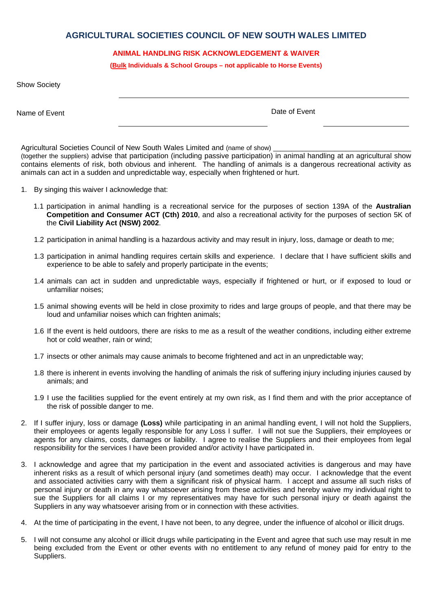## **AGRICULTURAL SOCIETIES COUNCIL OF NEW SOUTH WALES LIMITED**

## **ANIMAL HANDLING RISK ACKNOWLEDGEMENT & WAIVER**

**(Bulk Individuals & School Groups – not applicable to Horse Events)** 

|  | <b>Show Society</b> |
|--|---------------------|
|--|---------------------|

Name of Event Name of Event

Agricultural Societies Council of New South Wales Limited and (name of show) (together the suppliers) advise that participation (including passive participation) in animal handling at an agricultural show contains elements of risk, both obvious and inherent. The handling of animals is a dangerous recreational activity as animals can act in a sudden and unpredictable way, especially when frightened or hurt.

- 1. By singing this waiver I acknowledge that:
	- 1.1 participation in animal handling is a recreational service for the purposes of section 139A of the **Australian Competition and Consumer ACT (Cth) 2010**, and also a recreational activity for the purposes of section 5K of the **Civil Liability Act (NSW) 2002**.
	- 1.2 participation in animal handling is a hazardous activity and may result in injury, loss, damage or death to me;
	- 1.3 participation in animal handling requires certain skills and experience. I declare that I have sufficient skills and experience to be able to safely and properly participate in the events;
	- 1.4 animals can act in sudden and unpredictable ways, especially if frightened or hurt, or if exposed to loud or unfamiliar noises;
	- 1.5 animal showing events will be held in close proximity to rides and large groups of people, and that there may be loud and unfamiliar noises which can frighten animals;
	- 1.6 If the event is held outdoors, there are risks to me as a result of the weather conditions, including either extreme hot or cold weather, rain or wind;
	- 1.7 insects or other animals may cause animals to become frightened and act in an unpredictable way;
	- 1.8 there is inherent in events involving the handling of animals the risk of suffering injury including injuries caused by animals; and
	- 1.9 I use the facilities supplied for the event entirely at my own risk, as I find them and with the prior acceptance of the risk of possible danger to me.
- 2. If I suffer injury, loss or damage **(Loss)** while participating in an animal handling event, I will not hold the Suppliers, their employees or agents legally responsible for any Loss I suffer. I will not sue the Suppliers, their employees or agents for any claims, costs, damages or liability. I agree to realise the Suppliers and their employees from legal responsibility for the services I have been provided and/or activity I have participated in.
- 3. I acknowledge and agree that my participation in the event and associated activities is dangerous and may have inherent risks as a result of which personal injury (and sometimes death) may occur. I acknowledge that the event and associated activities carry with them a significant risk of physical harm. I accept and assume all such risks of personal injury or death in any way whatsoever arising from these activities and hereby waive my individual right to sue the Suppliers for all claims I or my representatives may have for such personal injury or death against the Suppliers in any way whatsoever arising from or in connection with these activities.
- 4. At the time of participating in the event, I have not been, to any degree, under the influence of alcohol or illicit drugs.
- 5. I will not consume any alcohol or illicit drugs while participating in the Event and agree that such use may result in me being excluded from the Event or other events with no entitlement to any refund of money paid for entry to the Suppliers.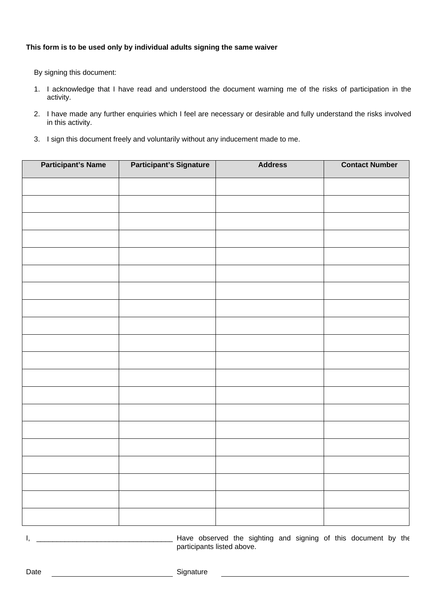## **This form is to be used only by individual adults signing the same waiver**

By signing this document:

- 1. I acknowledge that I have read and understood the document warning me of the risks of participation in the activity.
- 2. I have made any further enquiries which I feel are necessary or desirable and fully understand the risks involved in this activity.
- 3. I sign this document freely and voluntarily without any inducement made to me.

| <b>Participant's Name</b> | <b>Participant's Signature</b> | <b>Address</b> | <b>Contact Number</b> |
|---------------------------|--------------------------------|----------------|-----------------------|
|                           |                                |                |                       |
|                           |                                |                |                       |
|                           |                                |                |                       |
|                           |                                |                |                       |
|                           |                                |                |                       |
|                           |                                |                |                       |
|                           |                                |                |                       |
|                           |                                |                |                       |
|                           |                                |                |                       |
|                           |                                |                |                       |
|                           |                                |                |                       |
|                           |                                |                |                       |
|                           |                                |                |                       |
|                           |                                |                |                       |
|                           |                                |                |                       |
|                           |                                |                |                       |
|                           |                                |                |                       |
|                           |                                |                |                       |
|                           |                                |                |                       |
|                           |                                |                |                       |

I, \_\_\_\_\_\_\_\_\_\_\_\_\_\_\_\_\_\_\_\_\_\_\_\_\_\_\_\_\_\_\_\_\_\_ Have observed the sighting and signing of this document by the participants listed above.